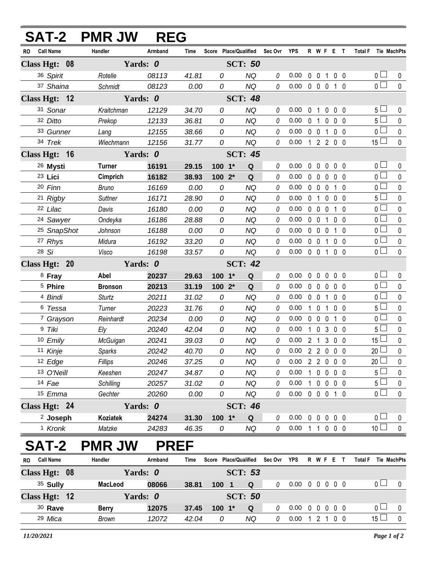|           |                        | <b>SAT-2 PMR JW</b> | <b>REG</b> |             |                       |                |             |                  |             |                   |                |                   |              |                     |              |
|-----------|------------------------|---------------------|------------|-------------|-----------------------|----------------|-------------|------------------|-------------|-------------------|----------------|-------------------|--------------|---------------------|--------------|
| <b>RO</b> | <b>Call Name</b>       | Handler             | Armband    | Time        | Score Place/Qualified |                | Sec Ovr YPS |                  |             |                   |                | R W F E T         |              | Total F Tie MachPts |              |
|           | Class Hgt: 08          |                     | Yards: 0   |             |                       | <b>SCT: 50</b> |             |                  |             |                   |                |                   |              |                     |              |
|           | 36 Spirit              | Rotelle             | 08113      | 41.81       | 0                     | <b>NQ</b>      | 0           | 0.00             |             |                   |                | 0 0 1 0 0         |              | 0 <sub>1</sub>      | 0            |
|           | 37 Shaina              | Schmidt             | 08123      | 0.00        | 0                     | <b>NQ</b>      | 0           | 0.00             |             |                   |                | 0 0 0 1 0         |              | $\overline{0}$      | $\mathbf{0}$ |
|           | Class Hgt: 12          |                     | Yards: 0   |             |                       | <b>SCT: 48</b> |             |                  |             |                   |                |                   |              |                     |              |
|           | 31 Sonar               | Kraitchman          | 12129      | 34.70       | 0                     | <b>NQ</b>      | 0           | 0.00             | $\mathbf 0$ | $\mathbf{1}$      | $\mathbf 0$    | $0\quad 0$        |              | 5 <sub>1</sub>      | $\mathbf 0$  |
|           | 32 Ditto               | Prekop              | 12133      | 36.81       | 0                     | <b>NQ</b>      | 0           | 0.00             |             | 0 <sub>1</sub>    | $\mathbf{0}$   | 0 <sub>0</sub>    |              | 5 <sub>1</sub>      | $\mathbf 0$  |
|           | 33 Gunner              | Lang                | 12155      | 38.66       | 0                     | <b>NQ</b>      | 0           | 0.00             |             | $0\quad 0$        | $\mathbf{1}$   | $0\quad 0$        |              | $\overline{0}$      | $\pmb{0}$    |
|           | 34 Trek                | Wiechmann           | 12156      | 31.77       | 0                     | <b>NQ</b>      | 0           | 0.00             |             |                   |                | 1 2 2 0 0         |              | $15 \Box$           | $\mathbf 0$  |
|           | Class Hgt: 16          |                     | Yards: 0   |             |                       | <b>SCT: 45</b> |             |                  |             |                   |                |                   |              |                     |              |
|           | 26 Mysti               | <b>Turner</b>       | 16191      | 29.15       | $100 - 1*$            | Q              | 0           | 0.00             |             |                   |                | 00000             |              | 0 <sub>0</sub>      | 0            |
|           | 23 Lici                | Cimprich            | 16182      | 38.93       | 100 2*                | Q              | 0           | 0.00             |             |                   |                | 00000             |              | $\overline{0}$      | $\mathbf 0$  |
|           | 20 Finn                | <b>Bruno</b>        | 16169      | 0.00        | 0                     | <b>NQ</b>      | 0           | 0.00             |             | $0\quad 0\quad 0$ |                | $1\quad0$         |              | 0 <sub>1</sub>      | $\mathbf 0$  |
|           | 21 Rigby               | Suttner             | 16171      | 28.90       | 0                     | <b>NQ</b>      | 0           | 0.00             |             | 0 <sub>1</sub>    |                | $0\quad 0\quad 0$ |              | $5\Box$             | $\mathbf 0$  |
|           | 22 Lilac               | Davis               | 16180      | 0.00        | 0                     | <b>NQ</b>      | 0           | 0.00             |             | $0\quad 0$        | $\mathbf 0$    | $1\quad0$         |              | $\overline{0}$      | $\mathbf{0}$ |
|           | <sup>24</sup> Sawyer   | Ondeyka             | 16186      | 28.88       | 0                     | NQ             | 0           | 0.00             |             | $0\quad 0$        | $\mathbf{1}$   | 0 <sub>0</sub>    |              | 0 <sub>0</sub>      | $\pmb{0}$    |
|           | <sup>25</sup> SnapShot | Johnson             | 16188      | 0.00        | 0                     | <b>NQ</b>      | 0           | 0.00             |             | $0\quad 0\quad 0$ |                | $1\quad0$         |              | 0 <sub>0</sub>      | $\mathbf 0$  |
|           | 27 Rhys                | Midura              | 16192      | 33.20       | 0                     | <b>NQ</b>      | 0           | 0.00             |             | $0 \t0 \t1$       |                | 0 <sub>0</sub>    |              | $\overline{0}$      | $\pmb{0}$    |
|           | 28 Si                  | Visco               | 16198      | 33.57       | 0                     | <b>NQ</b>      | 0           | 0.00             |             | $0 \t0 \t1$       |                | 0 <sub>0</sub>    |              | 0 <sub>1</sub>      | 0            |
|           | Class Hgt: 20          |                     | Yards: 0   |             |                       | <b>SCT: 42</b> |             |                  |             |                   |                |                   |              |                     |              |
|           | <sup>8</sup> Fray      | Abel                | 20237      | 29.63       | $100 - 1*$            | Q              | 0           | 0.00             |             | $0\quad 0$        | 0              | 0 <sub>0</sub>    |              | 0 <sub>0</sub>      | $\mathbf 0$  |
|           | <sup>5</sup> Phire     | <b>Bronson</b>      | 20213      | 31.19       | 100 2*                | Q              | 0           | 0.00             |             | $0\quad 0$        | $\mathbf 0$    | 0 <sub>0</sub>    |              | $\overline{0}$      | $\mathbf 0$  |
|           | 4 Bindi                | <b>Sturtz</b>       | 20211      | 31.02       | 0                     | <b>NQ</b>      | 0           | 0.00             |             | $0\quad 0$        | $\overline{1}$ | 0 <sub>0</sub>    |              | $\overline{0}$      | $\pmb{0}$    |
|           | 6 Tessa                | Turner              | 20223      | 31.76       | 0                     | <b>NQ</b>      | 0           | 0.00             |             | $1\quad 0$        | 1              | $0\quad 0$        |              | 5 <sub>1</sub>      | 0            |
|           | <sup>7</sup> Grayson   | Reinhardt           | 20234      | 0.00        | 0                     | <b>NQ</b>      | 0           | 0.00             |             | $0\quad 0\quad 0$ |                | $1\quad0$         |              | 0 <sub>0</sub>      | $\mathbf 0$  |
|           | 9 Tiki                 | Ely                 | 20240      | 42.04       | 0                     | <b>NQ</b>      | 0           | 0.00             |             |                   |                | 1 0 3 0 0         |              | 5 <sub>1</sub>      | 0            |
|           | 10 Emily               | McGuigan            | 20241      | 39.03       | 0                     | <b>NQ</b>      | $\theta$    | 0.00             |             |                   |                | 2 1 3 0 0         |              | 15 <sub>1</sub>     | $\pmb{0}$    |
|           | 11 Kinje               | Sparks              | 20242      | 40.70       | 0                     | <b>NQ</b>      | 0           | $0.00$ 2 2 0 0 0 |             |                   |                |                   |              | 20 <sup>2</sup>     | $\mathsf{0}$ |
|           | 12 Edge                | Fillips             | 20246      | 37.25       | 0                     | NQ             | 0           | 0.00 2 2 0 0 0   |             |                   |                |                   |              | 20 <sub>1</sub>     | 0            |
|           | 13 O'Neill             | Keeshen             | 20247      | 34.87       | 0                     | <b>NQ</b>      | 0           | 0.00             |             |                   |                | 1 0 0 0 0         |              | 5 L                 | 0            |
|           | 14 Fae                 | Schilling           | 20257      | 31.02       | 0                     | <b>NQ</b>      | 0           | 0.00             |             |                   |                | 1 0 0 0 0         |              | 5 <sub>1</sub>      | $\pmb{0}$    |
|           | 15 Emma                | Gechter             | 20260      | 0.00        | 0                     | NQ             | 0           | 0.00 0 0 0 1 0   |             |                   |                |                   |              | 0∟                  | 0            |
|           | Class Hgt: 24          |                     | Yards: 0   |             |                       | <b>SCT: 46</b> |             |                  |             |                   |                |                   |              |                     |              |
|           | <sup>2</sup> Joseph    | <b>Koziatek</b>     | 24274      | 31.30       | $100 - 1*$            | Q              | 0           | 0.00             |             |                   |                | 00000             |              | 0 <sub>0</sub>      | $\bf{0}$     |
|           | <sup>1</sup> Kronk     | Matzke              | 24283      | 46.35       | 0                     | NQ             | $\theta$    | 0.00 1 1 0 0 0   |             |                   |                |                   |              | 10 <sup>1</sup>     | $\pmb{0}$    |
|           | <b>SAT-2</b>           | <b>PMR JW</b>       |            | <b>PREF</b> |                       |                |             |                  |             |                   |                |                   |              |                     |              |
| <b>RO</b> | <b>Call Name</b>       | Handler             | Armband    | Time        | Score Place/Qualified |                | Sec Ovr     | <b>YPS</b>       |             | R W F E           |                |                   | $\mathbf{T}$ | <b>Total F</b>      | Tie MachPts  |
|           | Class Hgt: 08          |                     | Yards: 0   |             |                       | <b>SCT: 53</b> |             |                  |             |                   |                |                   |              |                     |              |

| w<br>VAII RAIRV | ,,,,,,,,,,   | <i>r</i> uuwuw | .     | $00000 - 10000$ |                |  |                            |  |  | . | 117 11147111 W |  |
|-----------------|--------------|----------------|-------|-----------------|----------------|--|----------------------------|--|--|---|----------------|--|
| Class Hgt: 08   |              | Yards: 0       |       |                 |                |  |                            |  |  |   |                |  |
| 35 Sully        | MacLeod      | 08066          | 38.81 | 100             | Q              |  | 0.00 0 0 0 0 0             |  |  |   |                |  |
| Class Hgt: $12$ |              | Yards: 0       |       |                 | <b>SCT: 50</b> |  |                            |  |  |   |                |  |
| $30$ Rave       | <b>Berry</b> | 12075          | 37.45 | $100 \t1^*$     | Q              |  | $0.00 \t0 \t0 \t0 \t0 \t0$ |  |  |   |                |  |
| 29 Mica         | Brown        | 12072          | 42.04 | 0               | ΝQ             |  | 0.00                       |  |  |   | 15 $\Box$      |  |
|                 |              |                |       |                 |                |  |                            |  |  |   |                |  |